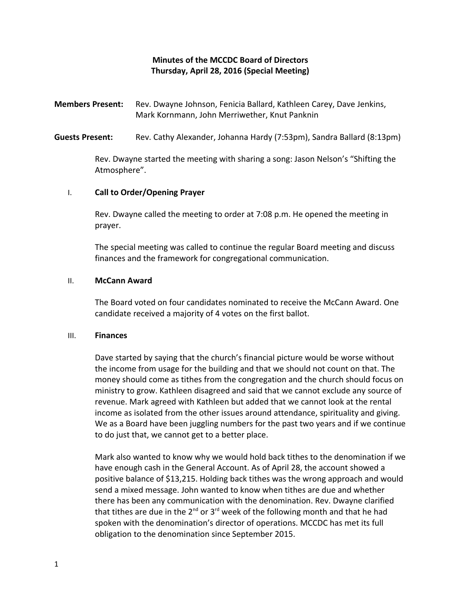# **Minutes of the MCCDC Board of Directors Thursday, April 28, 2016 (Special Meeting)**

- **Members Present:** Rev. Dwayne Johnson, Fenicia Ballard, Kathleen Carey, Dave Jenkins, Mark Kornmann, John Merriwether, Knut Panknin
- **Guests Present:** Rev. Cathy Alexander, Johanna Hardy (7:53pm), Sandra Ballard (8:13pm)

Rev. Dwayne started the meeting with sharing a song: Jason Nelson's "Shifting the Atmosphere".

## I. **Call to Order/Opening Prayer**

Rev. Dwayne called the meeting to order at 7:08 p.m. He opened the meeting in prayer.

The special meeting was called to continue the regular Board meeting and discuss finances and the framework for congregational communication.

### II. **McCann Award**

The Board voted on four candidates nominated to receive the McCann Award. One candidate received a majority of 4 votes on the first ballot.

### III. **Finances**

Dave started by saying that the church's financial picture would be worse without the income from usage for the building and that we should not count on that. The money should come as tithes from the congregation and the church should focus on ministry to grow. Kathleen disagreed and said that we cannot exclude any source of revenue. Mark agreed with Kathleen but added that we cannot look at the rental income as isolated from the other issues around attendance, spirituality and giving. We as a Board have been juggling numbers for the past two years and if we continue to do just that, we cannot get to a better place.

Mark also wanted to know why we would hold back tithes to the denomination if we have enough cash in the General Account. As of April 28, the account showed a positive balance of \$13,215. Holding back tithes was the wrong approach and would send a mixed message. John wanted to know when tithes are due and whether there has been any communication with the denomination. Rev. Dwayne clarified that tithes are due in the 2<sup>nd</sup> or 3<sup>rd</sup> week of the following month and that he had spoken with the denomination's director of operations. MCCDC has met its full obligation to the denomination since September 2015.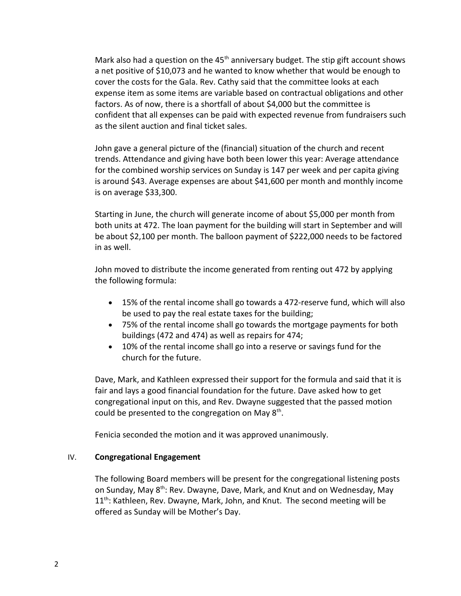Mark also had a question on the  $45<sup>th</sup>$  anniversary budget. The stip gift account shows a net positive of \$10,073 and he wanted to know whether that would be enough to cover the costs for the Gala. Rev. Cathy said that the committee looks at each expense item as some items are variable based on contractual obligations and other factors. As of now, there is a shortfall of about \$4,000 but the committee is confident that all expenses can be paid with expected revenue from fundraisers such as the silent auction and final ticket sales.

John gave a general picture of the (financial) situation of the church and recent trends. Attendance and giving have both been lower this year: Average attendance for the combined worship services on Sunday is 147 per week and per capita giving is around \$43. Average expenses are about \$41,600 per month and monthly income is on average \$33,300.

Starting in June, the church will generate income of about \$5,000 per month from both units at 472. The loan payment for the building will start in September and will be about \$2,100 per month. The balloon payment of \$222,000 needs to be factored in as well.

John moved to distribute the income generated from renting out 472 by applying the following formula:

- 15% of the rental income shall go towards a 472-reserve fund, which will also be used to pay the real estate taxes for the building;
- 75% of the rental income shall go towards the mortgage payments for both buildings (472 and 474) as well as repairs for 474;
- 10% of the rental income shall go into a reserve or savings fund for the church for the future.

Dave, Mark, and Kathleen expressed their support for the formula and said that it is fair and lays a good financial foundation for the future. Dave asked how to get congregational input on this, and Rev. Dwayne suggested that the passed motion could be presented to the congregation on May  $8<sup>th</sup>$ .

Fenicia seconded the motion and it was approved unanimously.

### IV. **Congregational Engagement**

The following Board members will be present for the congregational listening posts on Sunday, May 8<sup>th</sup>: Rev. Dwayne, Dave, Mark, and Knut and on Wednesday, May 11<sup>th</sup>: Kathleen, Rev. Dwayne, Mark, John, and Knut. The second meeting will be offered as Sunday will be Mother's Day.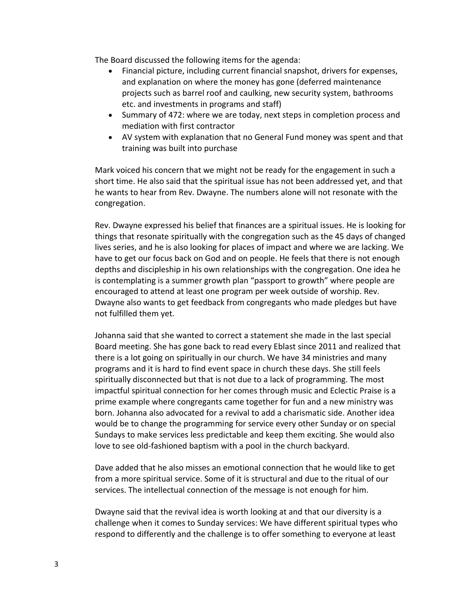The Board discussed the following items for the agenda:

- Financial picture, including current financial snapshot, drivers for expenses, and explanation on where the money has gone (deferred maintenance projects such as barrel roof and caulking, new security system, bathrooms etc. and investments in programs and staff)
- Summary of 472: where we are today, next steps in completion process and mediation with first contractor
- AV system with explanation that no General Fund money was spent and that training was built into purchase

Mark voiced his concern that we might not be ready for the engagement in such a short time. He also said that the spiritual issue has not been addressed yet, and that he wants to hear from Rev. Dwayne. The numbers alone will not resonate with the congregation.

Rev. Dwayne expressed his belief that finances are a spiritual issues. He is looking for things that resonate spiritually with the congregation such as the 45 days of changed lives series, and he is also looking for places of impact and where we are lacking. We have to get our focus back on God and on people. He feels that there is not enough depths and discipleship in his own relationships with the congregation. One idea he is contemplating is a summer growth plan "passport to growth" where people are encouraged to attend at least one program per week outside of worship. Rev. Dwayne also wants to get feedback from congregants who made pledges but have not fulfilled them yet.

Johanna said that she wanted to correct a statement she made in the last special Board meeting. She has gone back to read every Eblast since 2011 and realized that there is a lot going on spiritually in our church. We have 34 ministries and many programs and it is hard to find event space in church these days. She still feels spiritually disconnected but that is not due to a lack of programming. The most impactful spiritual connection for her comes through music and Eclectic Praise is a prime example where congregants came together for fun and a new ministry was born. Johanna also advocated for a revival to add a charismatic side. Another idea would be to change the programming for service every other Sunday or on special Sundays to make services less predictable and keep them exciting. She would also love to see old-fashioned baptism with a pool in the church backyard.

Dave added that he also misses an emotional connection that he would like to get from a more spiritual service. Some of it is structural and due to the ritual of our services. The intellectual connection of the message is not enough for him.

Dwayne said that the revival idea is worth looking at and that our diversity is a challenge when it comes to Sunday services: We have different spiritual types who respond to differently and the challenge is to offer something to everyone at least